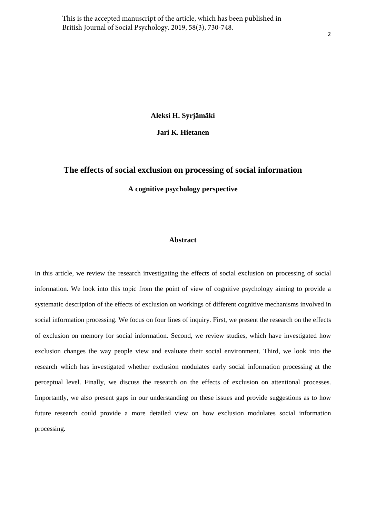**Aleksi H. Syrjämäki** 

**Jari K. Hietanen** 

# **The effects of social exclusion on processing of social information**

**A cognitive psychology perspective** 

# **Abstract**

In this article, we review the research investigating the effects of social exclusion on processing of social information. We look into this topic from the point of view of cognitive psychology aiming to provide a systematic description of the effects of exclusion on workings of different cognitive mechanisms involved in social information processing. We focus on four lines of inquiry. First, we present the research on the effects of exclusion on memory for social information. Second, we review studies, which have investigated how exclusion changes the way people view and evaluate their social environment. Third, we look into the research which has investigated whether exclusion modulates early social information processing at the perceptual level. Finally, we discuss the research on the effects of exclusion on attentional processes. Importantly, we also present gaps in our understanding on these issues and provide suggestions as to how future research could provide a more detailed view on how exclusion modulates social information processing.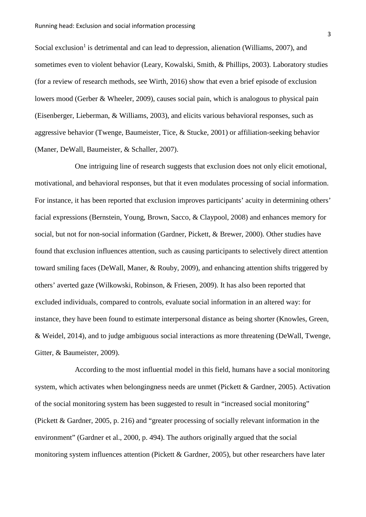Social exclusion<sup>1</sup> is detrimental and can lead to depression, alienation (Williams, 2007), and sometimes even to violent behavior (Leary, Kowalski, Smith, & Phillips, 2003). Laboratory studies (for a review of research methods, see Wirth, 2016) show that even a brief episode of exclusion lowers mood (Gerber & Wheeler, 2009), causes social pain, which is analogous to physical pain (Eisenberger, Lieberman, & Williams, 2003), and elicits various behavioral responses, such as aggressive behavior (Twenge, Baumeister, Tice, & Stucke, 2001) or affiliation-seeking behavior (Maner, DeWall, Baumeister, & Schaller, 2007).

One intriguing line of research suggests that exclusion does not only elicit emotional, motivational, and behavioral responses, but that it even modulates processing of social information. For instance, it has been reported that exclusion improves participants' acuity in determining others' facial expressions (Bernstein, Young, Brown, Sacco, & Claypool, 2008) and enhances memory for social, but not for non-social information (Gardner, Pickett, & Brewer, 2000). Other studies have found that exclusion influences attention, such as causing participants to selectively direct attention toward smiling faces (DeWall, Maner, & Rouby, 2009), and enhancing attention shifts triggered by others' averted gaze (Wilkowski, Robinson, & Friesen, 2009). It has also been reported that excluded individuals, compared to controls, evaluate social information in an altered way: for instance, they have been found to estimate interpersonal distance as being shorter (Knowles, Green, & Weidel, 2014), and to judge ambiguous social interactions as more threatening (DeWall, Twenge, Gitter, & Baumeister, 2009).

According to the most influential model in this field, humans have a social monitoring system, which activates when belongingness needs are unmet (Pickett & Gardner, 2005). Activation of the social monitoring system has been suggested to result in "increased social monitoring" (Pickett & Gardner, 2005, p. 216) and "greater processing of socially relevant information in the environment" (Gardner et al., 2000, p. 494). The authors originally argued that the social monitoring system influences attention (Pickett & Gardner, 2005), but other researchers have later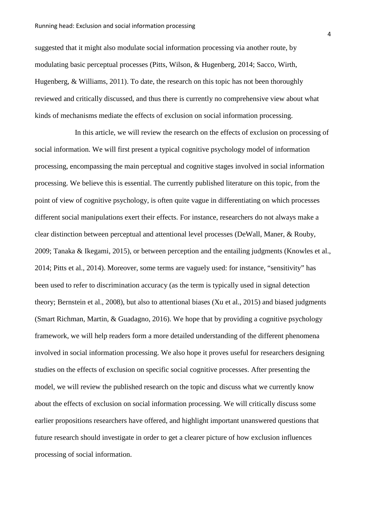suggested that it might also modulate social information processing via another route, by modulating basic perceptual processes (Pitts, Wilson, & Hugenberg, 2014; Sacco, Wirth, Hugenberg, & Williams, 2011). To date, the research on this topic has not been thoroughly reviewed and critically discussed, and thus there is currently no comprehensive view about what kinds of mechanisms mediate the effects of exclusion on social information processing.

In this article, we will review the research on the effects of exclusion on processing of social information. We will first present a typical cognitive psychology model of information processing, encompassing the main perceptual and cognitive stages involved in social information processing. We believe this is essential. The currently published literature on this topic, from the point of view of cognitive psychology, is often quite vague in differentiating on which processes different social manipulations exert their effects. For instance, researchers do not always make a clear distinction between perceptual and attentional level processes (DeWall, Maner, & Rouby, 2009; Tanaka & Ikegami, 2015), or between perception and the entailing judgments (Knowles et al., 2014; Pitts et al., 2014). Moreover, some terms are vaguely used: for instance, "sensitivity" has been used to refer to discrimination accuracy (as the term is typically used in signal detection theory; Bernstein et al., 2008), but also to attentional biases (Xu et al., 2015) and biased judgments (Smart Richman, Martin, & Guadagno, 2016). We hope that by providing a cognitive psychology framework, we will help readers form a more detailed understanding of the different phenomena involved in social information processing. We also hope it proves useful for researchers designing studies on the effects of exclusion on specific social cognitive processes. After presenting the model, we will review the published research on the topic and discuss what we currently know about the effects of exclusion on social information processing. We will critically discuss some earlier propositions researchers have offered, and highlight important unanswered questions that future research should investigate in order to get a clearer picture of how exclusion influences processing of social information.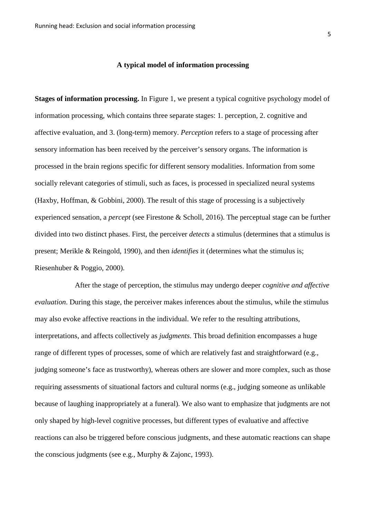# **A typical model of information processing**

**Stages of information processing.** In Figure 1, we present a typical cognitive psychology model of information processing, which contains three separate stages: 1. perception, 2. cognitive and affective evaluation, and 3. (long-term) memory. *Perception* refers to a stage of processing after sensory information has been received by the perceiver's sensory organs. The information is processed in the brain regions specific for different sensory modalities. Information from some socially relevant categories of stimuli, such as faces, is processed in specialized neural systems (Haxby, Hoffman, & Gobbini, 2000). The result of this stage of processing is a subjectively experienced sensation, a *percept* (see Firestone & Scholl, 2016). The perceptual stage can be further divided into two distinct phases. First, the perceiver *detects* a stimulus (determines that a stimulus is present; Merikle & Reingold, 1990), and then *identifies* it (determines what the stimulus is; Riesenhuber & Poggio, 2000).

After the stage of perception, the stimulus may undergo deeper *cognitive and affective evaluation*. During this stage, the perceiver makes inferences about the stimulus, while the stimulus may also evoke affective reactions in the individual. We refer to the resulting attributions, interpretations, and affects collectively as *judgments*. This broad definition encompasses a huge range of different types of processes, some of which are relatively fast and straightforward (e.g., judging someone's face as trustworthy), whereas others are slower and more complex, such as those requiring assessments of situational factors and cultural norms (e.g., judging someone as unlikable because of laughing inappropriately at a funeral). We also want to emphasize that judgments are not only shaped by high-level cognitive processes, but different types of evaluative and affective reactions can also be triggered before conscious judgments, and these automatic reactions can shape the conscious judgments (see e.g., Murphy & Zajonc, 1993).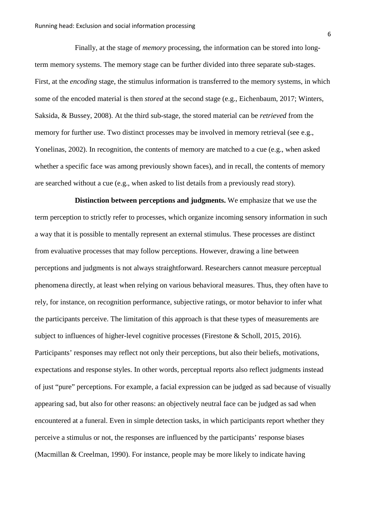Finally, at the stage of *memory* processing, the information can be stored into longterm memory systems. The memory stage can be further divided into three separate sub-stages. First, at the *encoding* stage, the stimulus information is transferred to the memory systems, in which some of the encoded material is then *stored* at the second stage (e.g., Eichenbaum, 2017; Winters, Saksida, & Bussey, 2008). At the third sub-stage, the stored material can be *retrieved* from the memory for further use. Two distinct processes may be involved in memory retrieval (see e.g., Yonelinas, 2002). In recognition, the contents of memory are matched to a cue (e.g., when asked whether a specific face was among previously shown faces), and in recall, the contents of memory are searched without a cue (e.g., when asked to list details from a previously read story).

**Distinction between perceptions and judgments.** We emphasize that we use the term perception to strictly refer to processes, which organize incoming sensory information in such a way that it is possible to mentally represent an external stimulus. These processes are distinct from evaluative processes that may follow perceptions. However, drawing a line between perceptions and judgments is not always straightforward. Researchers cannot measure perceptual phenomena directly, at least when relying on various behavioral measures. Thus, they often have to rely, for instance, on recognition performance, subjective ratings, or motor behavior to infer what the participants perceive. The limitation of this approach is that these types of measurements are subject to influences of higher-level cognitive processes (Firestone & Scholl, 2015, 2016). Participants' responses may reflect not only their perceptions, but also their beliefs, motivations, expectations and response styles. In other words, perceptual reports also reflect judgments instead of just "pure" perceptions. For example, a facial expression can be judged as sad because of visually appearing sad, but also for other reasons: an objectively neutral face can be judged as sad when encountered at a funeral. Even in simple detection tasks, in which participants report whether they perceive a stimulus or not, the responses are influenced by the participants' response biases (Macmillan & Creelman, 1990). For instance, people may be more likely to indicate having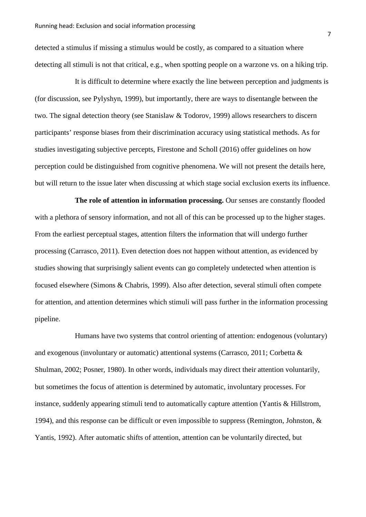detected a stimulus if missing a stimulus would be costly, as compared to a situation where detecting all stimuli is not that critical, e.g., when spotting people on a warzone vs. on a hiking trip.

It is difficult to determine where exactly the line between perception and judgments is (for discussion, see Pylyshyn, 1999), but importantly, there are ways to disentangle between the two. The signal detection theory (see Stanislaw & Todorov, 1999) allows researchers to discern participants' response biases from their discrimination accuracy using statistical methods. As for studies investigating subjective percepts, Firestone and Scholl (2016) offer guidelines on how perception could be distinguished from cognitive phenomena. We will not present the details here, but will return to the issue later when discussing at which stage social exclusion exerts its influence.

**The role of attention in information processing.** Our senses are constantly flooded with a plethora of sensory information, and not all of this can be processed up to the higher stages. From the earliest perceptual stages, attention filters the information that will undergo further processing (Carrasco, 2011). Even detection does not happen without attention, as evidenced by studies showing that surprisingly salient events can go completely undetected when attention is focused elsewhere (Simons & Chabris, 1999). Also after detection, several stimuli often compete for attention, and attention determines which stimuli will pass further in the information processing pipeline.

Humans have two systems that control orienting of attention: endogenous (voluntary) and exogenous (involuntary or automatic) attentional systems (Carrasco, 2011; Corbetta & Shulman, 2002; Posner, 1980). In other words, individuals may direct their attention voluntarily, but sometimes the focus of attention is determined by automatic, involuntary processes. For instance, suddenly appearing stimuli tend to automatically capture attention (Yantis & Hillstrom, 1994), and this response can be difficult or even impossible to suppress (Remington, Johnston, & Yantis, 1992). After automatic shifts of attention, attention can be voluntarily directed, but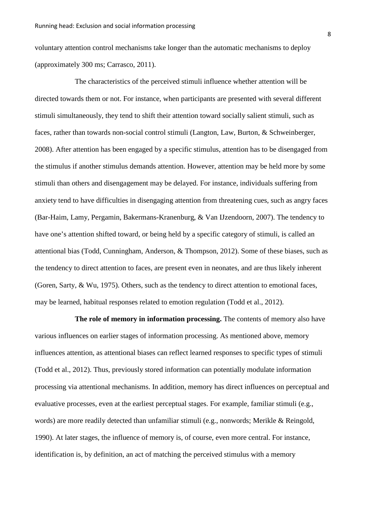voluntary attention control mechanisms take longer than the automatic mechanisms to deploy (approximately 300 ms; Carrasco, 2011).

The characteristics of the perceived stimuli influence whether attention will be directed towards them or not. For instance, when participants are presented with several different stimuli simultaneously, they tend to shift their attention toward socially salient stimuli, such as faces, rather than towards non-social control stimuli (Langton, Law, Burton, & Schweinberger, 2008). After attention has been engaged by a specific stimulus, attention has to be disengaged from the stimulus if another stimulus demands attention. However, attention may be held more by some stimuli than others and disengagement may be delayed. For instance, individuals suffering from anxiety tend to have difficulties in disengaging attention from threatening cues, such as angry faces (Bar-Haim, Lamy, Pergamin, Bakermans-Kranenburg, & Van IJzendoorn, 2007). The tendency to have one's attention shifted toward, or being held by a specific category of stimuli, is called an attentional bias (Todd, Cunningham, Anderson, & Thompson, 2012). Some of these biases, such as the tendency to direct attention to faces, are present even in neonates, and are thus likely inherent (Goren, Sarty, & Wu, 1975). Others, such as the tendency to direct attention to emotional faces, may be learned, habitual responses related to emotion regulation (Todd et al., 2012).

**The role of memory in information processing.** The contents of memory also have various influences on earlier stages of information processing. As mentioned above, memory influences attention, as attentional biases can reflect learned responses to specific types of stimuli (Todd et al., 2012). Thus, previously stored information can potentially modulate information processing via attentional mechanisms. In addition, memory has direct influences on perceptual and evaluative processes, even at the earliest perceptual stages. For example, familiar stimuli (e.g., words) are more readily detected than unfamiliar stimuli (e.g., nonwords; Merikle & Reingold, 1990). At later stages, the influence of memory is, of course, even more central. For instance, identification is, by definition, an act of matching the perceived stimulus with a memory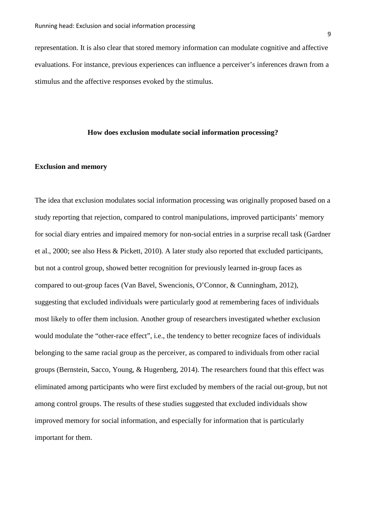representation. It is also clear that stored memory information can modulate cognitive and affective evaluations. For instance, previous experiences can influence a perceiver's inferences drawn from a stimulus and the affective responses evoked by the stimulus.

### **How does exclusion modulate social information processing?**

### **Exclusion and memory**

The idea that exclusion modulates social information processing was originally proposed based on a study reporting that rejection, compared to control manipulations, improved participants' memory for social diary entries and impaired memory for non-social entries in a surprise recall task (Gardner et al., 2000; see also Hess & Pickett, 2010). A later study also reported that excluded participants, but not a control group, showed better recognition for previously learned in-group faces as compared to out-group faces (Van Bavel, Swencionis, O'Connor, & Cunningham, 2012), suggesting that excluded individuals were particularly good at remembering faces of individuals most likely to offer them inclusion. Another group of researchers investigated whether exclusion would modulate the "other-race effect", i.e., the tendency to better recognize faces of individuals belonging to the same racial group as the perceiver, as compared to individuals from other racial groups (Bernstein, Sacco, Young, & Hugenberg, 2014). The researchers found that this effect was eliminated among participants who were first excluded by members of the racial out-group, but not among control groups. The results of these studies suggested that excluded individuals show improved memory for social information, and especially for information that is particularly important for them.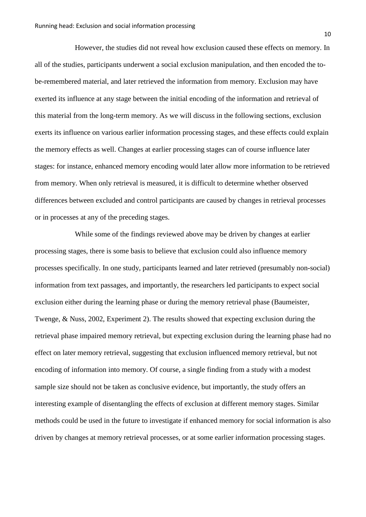However, the studies did not reveal how exclusion caused these effects on memory. In all of the studies, participants underwent a social exclusion manipulation, and then encoded the tobe-remembered material, and later retrieved the information from memory. Exclusion may have exerted its influence at any stage between the initial encoding of the information and retrieval of this material from the long-term memory. As we will discuss in the following sections, exclusion exerts its influence on various earlier information processing stages, and these effects could explain the memory effects as well. Changes at earlier processing stages can of course influence later stages: for instance, enhanced memory encoding would later allow more information to be retrieved from memory. When only retrieval is measured, it is difficult to determine whether observed differences between excluded and control participants are caused by changes in retrieval processes or in processes at any of the preceding stages.

While some of the findings reviewed above may be driven by changes at earlier processing stages, there is some basis to believe that exclusion could also influence memory processes specifically. In one study, participants learned and later retrieved (presumably non-social) information from text passages, and importantly, the researchers led participants to expect social exclusion either during the learning phase or during the memory retrieval phase (Baumeister, Twenge, & Nuss, 2002, Experiment 2). The results showed that expecting exclusion during the retrieval phase impaired memory retrieval, but expecting exclusion during the learning phase had no effect on later memory retrieval, suggesting that exclusion influenced memory retrieval, but not encoding of information into memory. Of course, a single finding from a study with a modest sample size should not be taken as conclusive evidence, but importantly, the study offers an interesting example of disentangling the effects of exclusion at different memory stages. Similar methods could be used in the future to investigate if enhanced memory for social information is also driven by changes at memory retrieval processes, or at some earlier information processing stages.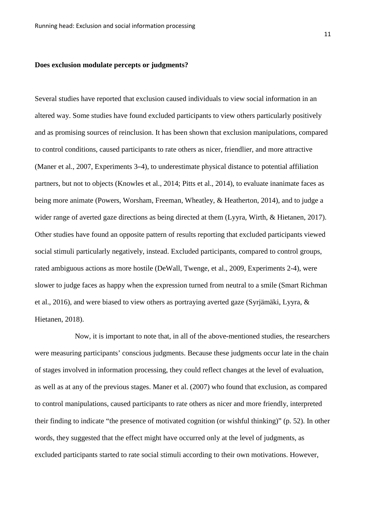## **Does exclusion modulate percepts or judgments?**

Several studies have reported that exclusion caused individuals to view social information in an altered way. Some studies have found excluded participants to view others particularly positively and as promising sources of reinclusion. It has been shown that exclusion manipulations, compared to control conditions, caused participants to rate others as nicer, friendlier, and more attractive (Maner et al., 2007, Experiments 3–4), to underestimate physical distance to potential affiliation partners, but not to objects (Knowles et al., 2014; Pitts et al., 2014), to evaluate inanimate faces as being more animate (Powers, Worsham, Freeman, Wheatley, & Heatherton, 2014), and to judge a wider range of averted gaze directions as being directed at them (Lyyra, Wirth, & Hietanen, 2017). Other studies have found an opposite pattern of results reporting that excluded participants viewed social stimuli particularly negatively, instead. Excluded participants, compared to control groups, rated ambiguous actions as more hostile (DeWall, Twenge, et al., 2009, Experiments 2-4), were slower to judge faces as happy when the expression turned from neutral to a smile (Smart Richman et al., 2016), and were biased to view others as portraying averted gaze (Syrjämäki, Lyyra, & Hietanen, 2018).

Now, it is important to note that, in all of the above-mentioned studies, the researchers were measuring participants' conscious judgments. Because these judgments occur late in the chain of stages involved in information processing, they could reflect changes at the level of evaluation, as well as at any of the previous stages. Maner et al. (2007) who found that exclusion, as compared to control manipulations, caused participants to rate others as nicer and more friendly, interpreted their finding to indicate "the presence of motivated cognition (or wishful thinking)" (p. 52). In other words, they suggested that the effect might have occurred only at the level of judgments, as excluded participants started to rate social stimuli according to their own motivations. However,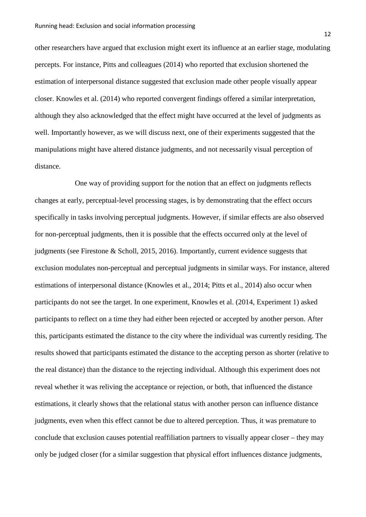other researchers have argued that exclusion might exert its influence at an earlier stage, modulating percepts. For instance, Pitts and colleagues (2014) who reported that exclusion shortened the estimation of interpersonal distance suggested that exclusion made other people visually appear closer. Knowles et al. (2014) who reported convergent findings offered a similar interpretation, although they also acknowledged that the effect might have occurred at the level of judgments as well. Importantly however, as we will discuss next, one of their experiments suggested that the manipulations might have altered distance judgments, and not necessarily visual perception of distance.

One way of providing support for the notion that an effect on judgments reflects changes at early, perceptual-level processing stages, is by demonstrating that the effect occurs specifically in tasks involving perceptual judgments. However, if similar effects are also observed for non-perceptual judgments, then it is possible that the effects occurred only at the level of judgments (see Firestone & Scholl, 2015, 2016). Importantly, current evidence suggests that exclusion modulates non-perceptual and perceptual judgments in similar ways. For instance, altered estimations of interpersonal distance (Knowles et al., 2014; Pitts et al., 2014) also occur when participants do not see the target. In one experiment, Knowles et al. (2014, Experiment 1) asked participants to reflect on a time they had either been rejected or accepted by another person. After this, participants estimated the distance to the city where the individual was currently residing. The results showed that participants estimated the distance to the accepting person as shorter (relative to the real distance) than the distance to the rejecting individual. Although this experiment does not reveal whether it was reliving the acceptance or rejection, or both, that influenced the distance estimations, it clearly shows that the relational status with another person can influence distance judgments, even when this effect cannot be due to altered perception. Thus, it was premature to conclude that exclusion causes potential reaffiliation partners to visually appear closer – they may only be judged closer (for a similar suggestion that physical effort influences distance judgments,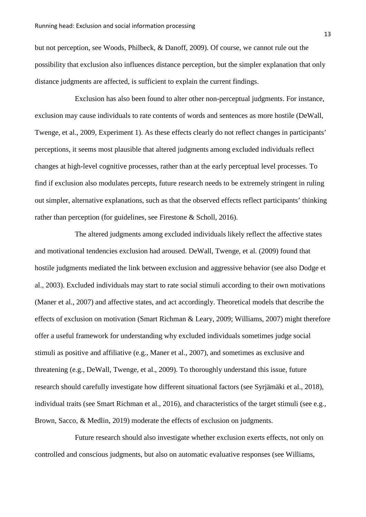but not perception, see Woods, Philbeck, & Danoff, 2009). Of course, we cannot rule out the possibility that exclusion also influences distance perception, but the simpler explanation that only distance judgments are affected, is sufficient to explain the current findings.

Exclusion has also been found to alter other non-perceptual judgments. For instance, exclusion may cause individuals to rate contents of words and sentences as more hostile (DeWall, Twenge, et al., 2009, Experiment 1). As these effects clearly do not reflect changes in participants' perceptions, it seems most plausible that altered judgments among excluded individuals reflect changes at high-level cognitive processes, rather than at the early perceptual level processes. To find if exclusion also modulates percepts, future research needs to be extremely stringent in ruling out simpler, alternative explanations, such as that the observed effects reflect participants' thinking rather than perception (for guidelines, see Firestone & Scholl, 2016).

The altered judgments among excluded individuals likely reflect the affective states and motivational tendencies exclusion had aroused. DeWall, Twenge, et al. (2009) found that hostile judgments mediated the link between exclusion and aggressive behavior (see also Dodge et al., 2003). Excluded individuals may start to rate social stimuli according to their own motivations (Maner et al., 2007) and affective states, and act accordingly. Theoretical models that describe the effects of exclusion on motivation (Smart Richman & Leary, 2009; Williams, 2007) might therefore offer a useful framework for understanding why excluded individuals sometimes judge social stimuli as positive and affiliative (e.g., Maner et al., 2007), and sometimes as exclusive and threatening (e.g., DeWall, Twenge, et al., 2009). To thoroughly understand this issue, future research should carefully investigate how different situational factors (see Syrjämäki et al., 2018), individual traits (see Smart Richman et al., 2016), and characteristics of the target stimuli (see e.g., Brown, Sacco, & Medlin, 2019) moderate the effects of exclusion on judgments.

Future research should also investigate whether exclusion exerts effects, not only on controlled and conscious judgments, but also on automatic evaluative responses (see Williams,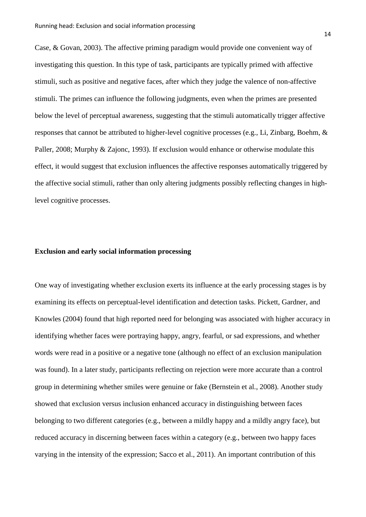Case, & Govan, 2003). The affective priming paradigm would provide one convenient way of investigating this question. In this type of task, participants are typically primed with affective stimuli, such as positive and negative faces, after which they judge the valence of non-affective stimuli. The primes can influence the following judgments, even when the primes are presented below the level of perceptual awareness, suggesting that the stimuli automatically trigger affective responses that cannot be attributed to higher-level cognitive processes (e.g., Li, Zinbarg, Boehm, & Paller, 2008; Murphy & Zajonc, 1993). If exclusion would enhance or otherwise modulate this effect, it would suggest that exclusion influences the affective responses automatically triggered by the affective social stimuli, rather than only altering judgments possibly reflecting changes in highlevel cognitive processes.

### **Exclusion and early social information processing**

One way of investigating whether exclusion exerts its influence at the early processing stages is by examining its effects on perceptual-level identification and detection tasks. Pickett, Gardner, and Knowles (2004) found that high reported need for belonging was associated with higher accuracy in identifying whether faces were portraying happy, angry, fearful, or sad expressions, and whether words were read in a positive or a negative tone (although no effect of an exclusion manipulation was found). In a later study, participants reflecting on rejection were more accurate than a control group in determining whether smiles were genuine or fake (Bernstein et al., 2008). Another study showed that exclusion versus inclusion enhanced accuracy in distinguishing between faces belonging to two different categories (e.g., between a mildly happy and a mildly angry face), but reduced accuracy in discerning between faces within a category (e.g., between two happy faces varying in the intensity of the expression; Sacco et al., 2011). An important contribution of this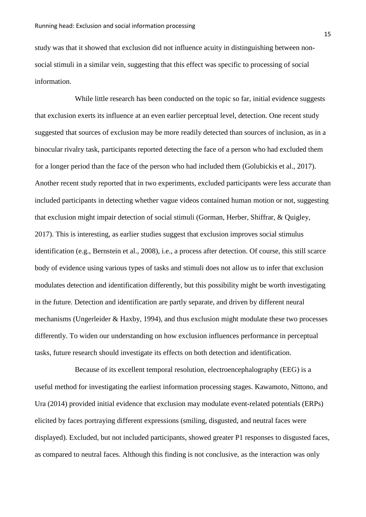study was that it showed that exclusion did not influence acuity in distinguishing between nonsocial stimuli in a similar vein, suggesting that this effect was specific to processing of social information.

While little research has been conducted on the topic so far, initial evidence suggests that exclusion exerts its influence at an even earlier perceptual level, detection. One recent study suggested that sources of exclusion may be more readily detected than sources of inclusion, as in a binocular rivalry task, participants reported detecting the face of a person who had excluded them for a longer period than the face of the person who had included them (Golubickis et al., 2017). Another recent study reported that in two experiments, excluded participants were less accurate than included participants in detecting whether vague videos contained human motion or not, suggesting that exclusion might impair detection of social stimuli (Gorman, Herber, Shiffrar, & Quigley, 2017). This is interesting, as earlier studies suggest that exclusion improves social stimulus identification (e.g., Bernstein et al., 2008), i.e., a process after detection. Of course, this still scarce body of evidence using various types of tasks and stimuli does not allow us to infer that exclusion modulates detection and identification differently, but this possibility might be worth investigating in the future. Detection and identification are partly separate, and driven by different neural mechanisms (Ungerleider & Haxby, 1994), and thus exclusion might modulate these two processes differently. To widen our understanding on how exclusion influences performance in perceptual tasks, future research should investigate its effects on both detection and identification.

Because of its excellent temporal resolution, electroencephalography (EEG) is a useful method for investigating the earliest information processing stages. Kawamoto, Nittono, and Ura (2014) provided initial evidence that exclusion may modulate event-related potentials (ERPs) elicited by faces portraying different expressions (smiling, disgusted, and neutral faces were displayed). Excluded, but not included participants, showed greater P1 responses to disgusted faces, as compared to neutral faces. Although this finding is not conclusive, as the interaction was only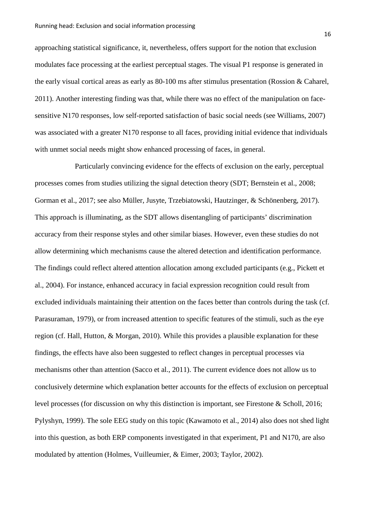approaching statistical significance, it, nevertheless, offers support for the notion that exclusion modulates face processing at the earliest perceptual stages. The visual P1 response is generated in the early visual cortical areas as early as 80-100 ms after stimulus presentation (Rossion & Caharel, 2011). Another interesting finding was that, while there was no effect of the manipulation on facesensitive N170 responses, low self-reported satisfaction of basic social needs (see Williams, 2007) was associated with a greater N170 response to all faces, providing initial evidence that individuals with unmet social needs might show enhanced processing of faces, in general.

Particularly convincing evidence for the effects of exclusion on the early, perceptual processes comes from studies utilizing the signal detection theory (SDT; Bernstein et al., 2008; Gorman et al., 2017; see also Müller, Jusyte, Trzebiatowski, Hautzinger, & Schönenberg, 2017). This approach is illuminating, as the SDT allows disentangling of participants' discrimination accuracy from their response styles and other similar biases. However, even these studies do not allow determining which mechanisms cause the altered detection and identification performance. The findings could reflect altered attention allocation among excluded participants (e.g., Pickett et al., 2004). For instance, enhanced accuracy in facial expression recognition could result from excluded individuals maintaining their attention on the faces better than controls during the task (cf. Parasuraman, 1979), or from increased attention to specific features of the stimuli, such as the eye region (cf. Hall, Hutton, & Morgan, 2010). While this provides a plausible explanation for these findings, the effects have also been suggested to reflect changes in perceptual processes via mechanisms other than attention (Sacco et al., 2011). The current evidence does not allow us to conclusively determine which explanation better accounts for the effects of exclusion on perceptual level processes (for discussion on why this distinction is important, see Firestone & Scholl, 2016; Pylyshyn, 1999). The sole EEG study on this topic (Kawamoto et al., 2014) also does not shed light into this question, as both ERP components investigated in that experiment, P1 and N170, are also modulated by attention (Holmes, Vuilleumier, & Eimer, 2003; Taylor, 2002).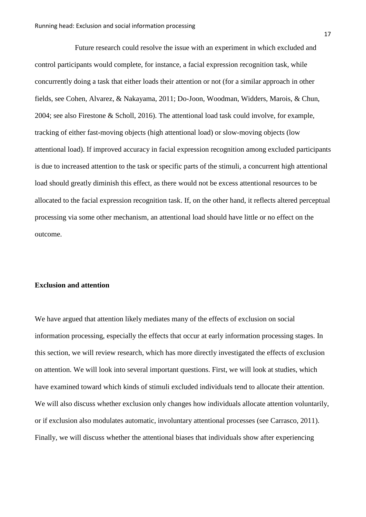Future research could resolve the issue with an experiment in which excluded and control participants would complete, for instance, a facial expression recognition task, while concurrently doing a task that either loads their attention or not (for a similar approach in other fields, see Cohen, Alvarez, & Nakayama, 2011; Do-Joon, Woodman, Widders, Marois, & Chun, 2004; see also Firestone & Scholl, 2016). The attentional load task could involve, for example, tracking of either fast-moving objects (high attentional load) or slow-moving objects (low attentional load). If improved accuracy in facial expression recognition among excluded participants is due to increased attention to the task or specific parts of the stimuli, a concurrent high attentional load should greatly diminish this effect, as there would not be excess attentional resources to be allocated to the facial expression recognition task. If, on the other hand, it reflects altered perceptual processing via some other mechanism, an attentional load should have little or no effect on the outcome.

## **Exclusion and attention**

We have argued that attention likely mediates many of the effects of exclusion on social information processing, especially the effects that occur at early information processing stages. In this section, we will review research, which has more directly investigated the effects of exclusion on attention. We will look into several important questions. First, we will look at studies, which have examined toward which kinds of stimuli excluded individuals tend to allocate their attention. We will also discuss whether exclusion only changes how individuals allocate attention voluntarily, or if exclusion also modulates automatic, involuntary attentional processes (see Carrasco, 2011). Finally, we will discuss whether the attentional biases that individuals show after experiencing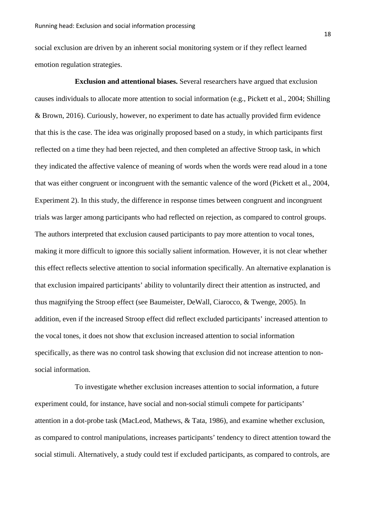social exclusion are driven by an inherent social monitoring system or if they reflect learned emotion regulation strategies.

**Exclusion and attentional biases.** Several researchers have argued that exclusion causes individuals to allocate more attention to social information (e.g., Pickett et al., 2004; Shilling & Brown, 2016). Curiously, however, no experiment to date has actually provided firm evidence that this is the case. The idea was originally proposed based on a study, in which participants first reflected on a time they had been rejected, and then completed an affective Stroop task, in which they indicated the affective valence of meaning of words when the words were read aloud in a tone that was either congruent or incongruent with the semantic valence of the word (Pickett et al., 2004, Experiment 2). In this study, the difference in response times between congruent and incongruent trials was larger among participants who had reflected on rejection, as compared to control groups. The authors interpreted that exclusion caused participants to pay more attention to vocal tones, making it more difficult to ignore this socially salient information. However, it is not clear whether this effect reflects selective attention to social information specifically. An alternative explanation is that exclusion impaired participants' ability to voluntarily direct their attention as instructed, and thus magnifying the Stroop effect (see Baumeister, DeWall, Ciarocco, & Twenge, 2005). In addition, even if the increased Stroop effect did reflect excluded participants' increased attention to the vocal tones, it does not show that exclusion increased attention to social information specifically, as there was no control task showing that exclusion did not increase attention to nonsocial information.

To investigate whether exclusion increases attention to social information, a future experiment could, for instance, have social and non-social stimuli compete for participants' attention in a dot-probe task (MacLeod, Mathews, & Tata, 1986), and examine whether exclusion, as compared to control manipulations, increases participants' tendency to direct attention toward the social stimuli. Alternatively, a study could test if excluded participants, as compared to controls, are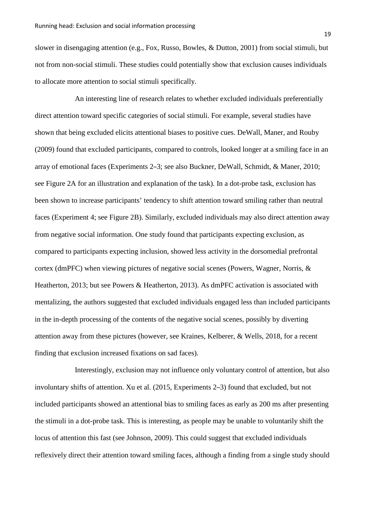slower in disengaging attention (e.g., Fox, Russo, Bowles, & Dutton, 2001) from social stimuli, but not from non-social stimuli. These studies could potentially show that exclusion causes individuals to allocate more attention to social stimuli specifically.

An interesting line of research relates to whether excluded individuals preferentially direct attention toward specific categories of social stimuli. For example, several studies have shown that being excluded elicits attentional biases to positive cues. DeWall, Maner, and Rouby (2009) found that excluded participants, compared to controls, looked longer at a smiling face in an array of emotional faces (Experiments 2–3; see also Buckner, DeWall, Schmidt, & Maner, 2010; see Figure 2A for an illustration and explanation of the task). In a dot-probe task, exclusion has been shown to increase participants' tendency to shift attention toward smiling rather than neutral faces (Experiment 4; see Figure 2B). Similarly, excluded individuals may also direct attention away from negative social information. One study found that participants expecting exclusion, as compared to participants expecting inclusion, showed less activity in the dorsomedial prefrontal cortex (dmPFC) when viewing pictures of negative social scenes (Powers, Wagner, Norris, & Heatherton, 2013; but see Powers & Heatherton, 2013). As dmPFC activation is associated with mentalizing, the authors suggested that excluded individuals engaged less than included participants in the in-depth processing of the contents of the negative social scenes, possibly by diverting attention away from these pictures (however, see Kraines, Kelberer, & Wells, 2018, for a recent finding that exclusion increased fixations on sad faces).

Interestingly, exclusion may not influence only voluntary control of attention, but also involuntary shifts of attention. Xu et al. (2015, Experiments 2–3) found that excluded, but not included participants showed an attentional bias to smiling faces as early as 200 ms after presenting the stimuli in a dot-probe task. This is interesting, as people may be unable to voluntarily shift the locus of attention this fast (see Johnson, 2009). This could suggest that excluded individuals reflexively direct their attention toward smiling faces, although a finding from a single study should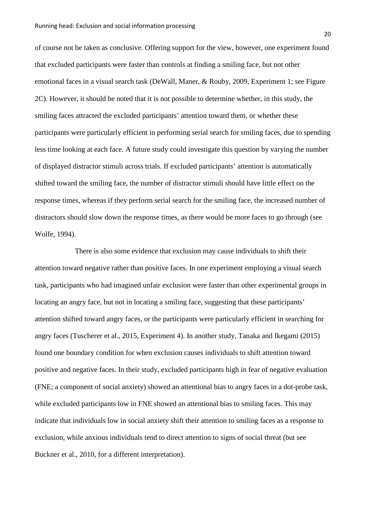of course not be taken as conclusive. Offering support for the view, however, one experiment found that excluded participants were faster than controls at finding a smiling face, but not other emotional faces in a visual search task (DeWall, Maner, & Rouby, 2009, Experiment 1; see Figure 2C). However, it should be noted that it is not possible to determine whether, in this study, the smiling faces attracted the excluded participants' attention toward them, or whether these participants were particularly efficient in performing serial search for smiling faces, due to spending less time looking at each face. A future study could investigate this question by varying the number of displayed distractor stimuli across trials. If excluded participants' attention is automatically shifted toward the smiling face, the number of distractor stimuli should have little effect on the response times, whereas if they perform serial search for the smiling face, the increased number of distractors should slow down the response times, as there would be more faces to go through (see Wolfe, 1994).

There is also some evidence that exclusion may cause individuals to shift their attention toward negative rather than positive faces. In one experiment employing a visual search task, participants who had imagined unfair exclusion were faster than other experimental groups in locating an angry face, but not in locating a smiling face, suggesting that these participants' attention shifted toward angry faces, or the participants were particularly efficient in searching for angry faces (Tuscherer et al., 2015, Experiment 4). In another study, Tanaka and Ikegami (2015) found one boundary condition for when exclusion causes individuals to shift attention toward positive and negative faces. In their study, excluded participants high in fear of negative evaluation (FNE; a component of social anxiety) showed an attentional bias to angry faces in a dot-probe task, while excluded participants low in FNE showed an attentional bias to smiling faces. This may indicate that individuals low in social anxiety shift their attention to smiling faces as a response to exclusion, while anxious individuals tend to direct attention to signs of social threat (but see Buckner et al., 2010, for a different interpretation).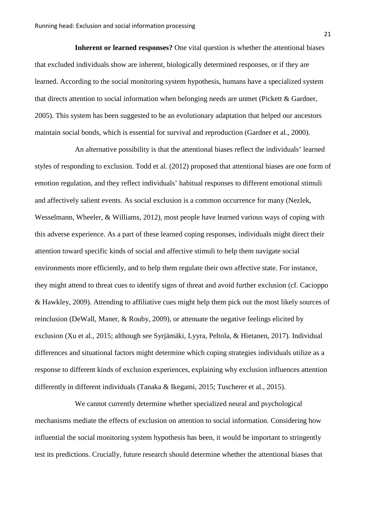**Inherent or learned responses?** One vital question is whether the attentional biases that excluded individuals show are inherent, biologically determined responses, or if they are learned. According to the social monitoring system hypothesis, humans have a specialized system that directs attention to social information when belonging needs are unmet (Pickett & Gardner, 2005). This system has been suggested to be an evolutionary adaptation that helped our ancestors maintain social bonds, which is essential for survival and reproduction (Gardner et al., 2000).

An alternative possibility is that the attentional biases reflect the individuals' learned styles of responding to exclusion. Todd et al. (2012) proposed that attentional biases are one form of emotion regulation, and they reflect individuals' habitual responses to different emotional stimuli and affectively salient events. As social exclusion is a common occurrence for many (Nezlek, Wesselmann, Wheeler, & Williams, 2012), most people have learned various ways of coping with this adverse experience. As a part of these learned coping responses, individuals might direct their attention toward specific kinds of social and affective stimuli to help them navigate social environments more efficiently, and to help them regulate their own affective state. For instance, they might attend to threat cues to identify signs of threat and avoid further exclusion (cf. Cacioppo & Hawkley, 2009). Attending to affiliative cues might help them pick out the most likely sources of reinclusion (DeWall, Maner, & Rouby, 2009), or attenuate the negative feelings elicited by exclusion (Xu et al., 2015; although see Syrjämäki, Lyyra, Peltola, & Hietanen, 2017). Individual differences and situational factors might determine which coping strategies individuals utilize as a response to different kinds of exclusion experiences, explaining why exclusion influences attention differently in different individuals (Tanaka & Ikegami, 2015; Tuscherer et al., 2015).

We cannot currently determine whether specialized neural and psychological mechanisms mediate the effects of exclusion on attention to social information. Considering how influential the social monitoring system hypothesis has been, it would be important to stringently test its predictions. Crucially, future research should determine whether the attentional biases that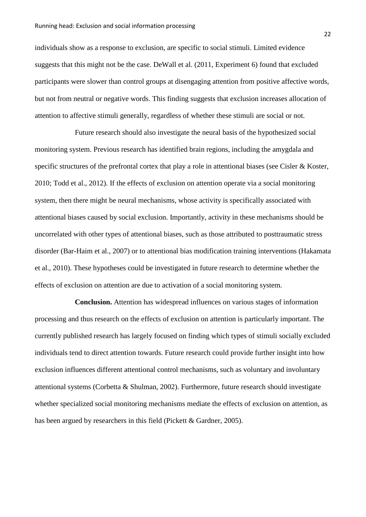individuals show as a response to exclusion, are specific to social stimuli. Limited evidence suggests that this might not be the case. DeWall et al. (2011, Experiment 6) found that excluded participants were slower than control groups at disengaging attention from positive affective words, but not from neutral or negative words. This finding suggests that exclusion increases allocation of attention to affective stimuli generally, regardless of whether these stimuli are social or not.

Future research should also investigate the neural basis of the hypothesized social monitoring system. Previous research has identified brain regions, including the amygdala and specific structures of the prefrontal cortex that play a role in attentional biases (see Cisler & Koster, 2010; Todd et al., 2012). If the effects of exclusion on attention operate via a social monitoring system, then there might be neural mechanisms, whose activity is specifically associated with attentional biases caused by social exclusion. Importantly, activity in these mechanisms should be uncorrelated with other types of attentional biases, such as those attributed to posttraumatic stress disorder (Bar-Haim et al., 2007) or to attentional bias modification training interventions (Hakamata et al., 2010). These hypotheses could be investigated in future research to determine whether the effects of exclusion on attention are due to activation of a social monitoring system.

**Conclusion.** Attention has widespread influences on various stages of information processing and thus research on the effects of exclusion on attention is particularly important. The currently published research has largely focused on finding which types of stimuli socially excluded individuals tend to direct attention towards. Future research could provide further insight into how exclusion influences different attentional control mechanisms, such as voluntary and involuntary attentional systems (Corbetta & Shulman, 2002). Furthermore, future research should investigate whether specialized social monitoring mechanisms mediate the effects of exclusion on attention, as has been argued by researchers in this field (Pickett & Gardner, 2005).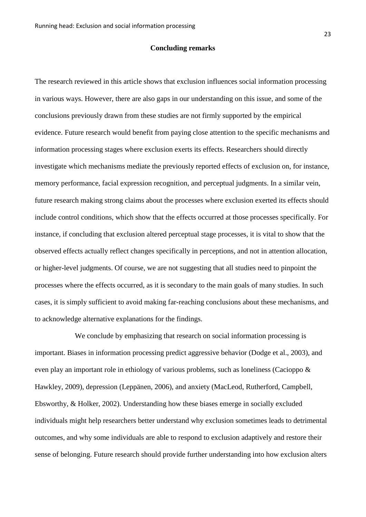### **Concluding remarks**

The research reviewed in this article shows that exclusion influences social information processing in various ways. However, there are also gaps in our understanding on this issue, and some of the conclusions previously drawn from these studies are not firmly supported by the empirical evidence. Future research would benefit from paying close attention to the specific mechanisms and information processing stages where exclusion exerts its effects. Researchers should directly investigate which mechanisms mediate the previously reported effects of exclusion on, for instance, memory performance, facial expression recognition, and perceptual judgments. In a similar vein, future research making strong claims about the processes where exclusion exerted its effects should include control conditions, which show that the effects occurred at those processes specifically. For instance, if concluding that exclusion altered perceptual stage processes, it is vital to show that the observed effects actually reflect changes specifically in perceptions, and not in attention allocation, or higher-level judgments. Of course, we are not suggesting that all studies need to pinpoint the processes where the effects occurred, as it is secondary to the main goals of many studies. In such cases, it is simply sufficient to avoid making far-reaching conclusions about these mechanisms, and to acknowledge alternative explanations for the findings.

We conclude by emphasizing that research on social information processing is important. Biases in information processing predict aggressive behavior (Dodge et al., 2003), and even play an important role in ethiology of various problems, such as loneliness (Cacioppo & Hawkley, 2009), depression (Leppänen, 2006), and anxiety (MacLeod, Rutherford, Campbell, Ebsworthy, & Holker, 2002). Understanding how these biases emerge in socially excluded individuals might help researchers better understand why exclusion sometimes leads to detrimental outcomes, and why some individuals are able to respond to exclusion adaptively and restore their sense of belonging. Future research should provide further understanding into how exclusion alters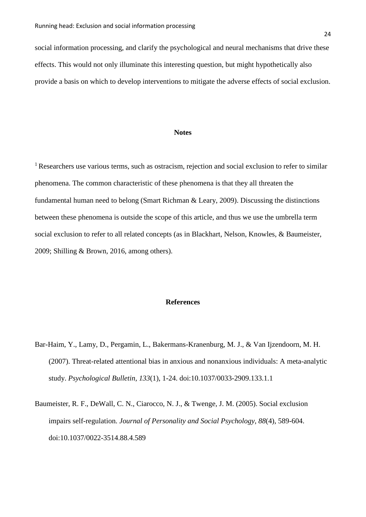social information processing, and clarify the psychological and neural mechanisms that drive these effects. This would not only illuminate this interesting question, but might hypothetically also provide a basis on which to develop interventions to mitigate the adverse effects of social exclusion.

### **Notes**

<sup>1</sup> Researchers use various terms, such as ostracism, rejection and social exclusion to refer to similar phenomena. The common characteristic of these phenomena is that they all threaten the fundamental human need to belong (Smart Richman & Leary, 2009). Discussing the distinctions between these phenomena is outside the scope of this article, and thus we use the umbrella term social exclusion to refer to all related concepts (as in Blackhart, Nelson, Knowles, & Baumeister, 2009; Shilling & Brown, 2016, among others).

## **References**

- Bar-Haim, Y., Lamy, D., Pergamin, L., Bakermans-Kranenburg, M. J., & Van Ijzendoorn, M. H. (2007). Threat-related attentional bias in anxious and nonanxious individuals: A meta-analytic study. *Psychological Bulletin, 133*(1), 1-24. doi:10.1037/0033-2909.133.1.1
- Baumeister, R. F., DeWall, C. N., Ciarocco, N. J., & Twenge, J. M. (2005). Social exclusion impairs self-regulation. *Journal of Personality and Social Psychology, 88*(4), 589-604. doi:10.1037/0022-3514.88.4.589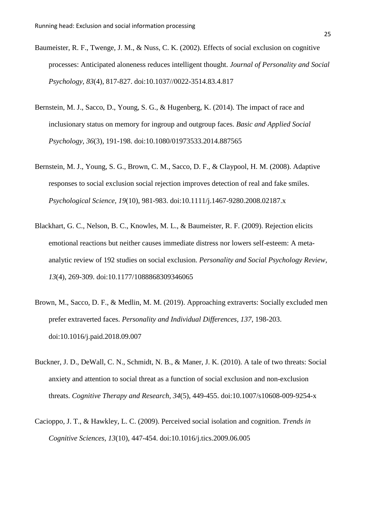- Baumeister, R. F., Twenge, J. M., & Nuss, C. K. (2002). Effects of social exclusion on cognitive processes: Anticipated aloneness reduces intelligent thought. *Journal of Personality and Social Psychology, 83*(4), 817-827. doi:10.1037//0022-3514.83.4.817
- Bernstein, M. J., Sacco, D., Young, S. G., & Hugenberg, K. (2014). The impact of race and inclusionary status on memory for ingroup and outgroup faces. *Basic and Applied Social Psychology, 36*(3), 191-198. doi:10.1080/01973533.2014.887565
- Bernstein, M. J., Young, S. G., Brown, C. M., Sacco, D. F., & Claypool, H. M. (2008). Adaptive responses to social exclusion social rejection improves detection of real and fake smiles. *Psychological Science, 19*(10), 981-983. doi:10.1111/j.1467-9280.2008.02187.x
- Blackhart, G. C., Nelson, B. C., Knowles, M. L., & Baumeister, R. F. (2009). Rejection elicits emotional reactions but neither causes immediate distress nor lowers self-esteem: A metaanalytic review of 192 studies on social exclusion. *Personality and Social Psychology Review, 13*(4), 269-309. doi:10.1177/1088868309346065
- Brown, M., Sacco, D. F., & Medlin, M. M. (2019). Approaching extraverts: Socially excluded men prefer extraverted faces. *Personality and Individual Differences, 137*, 198-203. doi:10.1016/j.paid.2018.09.007
- Buckner, J. D., DeWall, C. N., Schmidt, N. B., & Maner, J. K. (2010). A tale of two threats: Social anxiety and attention to social threat as a function of social exclusion and non-exclusion threats. *Cognitive Therapy and Research, 34*(5), 449-455. doi:10.1007/s10608-009-9254-x
- Cacioppo, J. T., & Hawkley, L. C. (2009). Perceived social isolation and cognition. *Trends in Cognitive Sciences, 13*(10), 447-454. doi:10.1016/j.tics.2009.06.005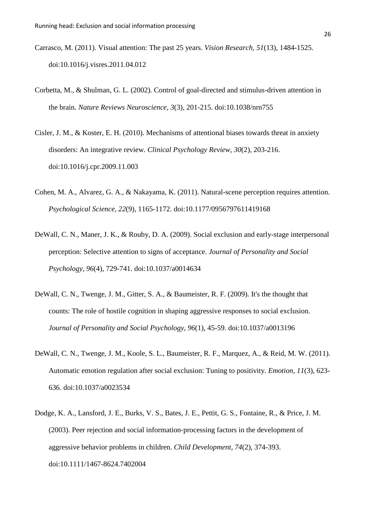- Carrasco, M. (2011). Visual attention: The past 25 years. *Vision Research, 51*(13), 1484-1525. doi:10.1016/j.visres.2011.04.012
- Corbetta, M., & Shulman, G. L. (2002). Control of goal-directed and stimulus-driven attention in the brain. *Nature Reviews Neuroscience, 3*(3), 201-215. doi:10.1038/nrn755
- Cisler, J. M., & Koster, E. H. (2010). Mechanisms of attentional biases towards threat in anxiety disorders: An integrative review. *Clinical Psychology Review, 30*(2), 203-216. doi:10.1016/j.cpr.2009.11.003
- Cohen, M. A., Alvarez, G. A., & Nakayama, K. (2011). Natural-scene perception requires attention. *Psychological Science, 22*(9), 1165-1172. doi:10.1177/0956797611419168
- DeWall, C. N., Maner, J. K., & Rouby, D. A. (2009). Social exclusion and early-stage interpersonal perception: Selective attention to signs of acceptance. *Journal of Personality and Social Psychology, 96*(4), 729-741. doi:10.1037/a0014634
- DeWall, C. N., Twenge, J. M., Gitter, S. A., & Baumeister, R. F. (2009). It's the thought that counts: The role of hostile cognition in shaping aggressive responses to social exclusion. *Journal of Personality and Social Psychology, 96*(1), 45-59. doi:10.1037/a0013196
- DeWall, C. N., Twenge, J. M., Koole, S. L., Baumeister, R. F., Marquez, A., & Reid, M. W. (2011). Automatic emotion regulation after social exclusion: Tuning to positivity. *Emotion, 11*(3), 623- 636. doi:10.1037/a0023534
- Dodge, K. A., Lansford, J. E., Burks, V. S., Bates, J. E., Pettit, G. S., Fontaine, R., & Price, J. M. (2003). Peer rejection and social information‐processing factors in the development of aggressive behavior problems in children. *Child Development, 74*(2), 374-393. doi:10.1111/1467-8624.7402004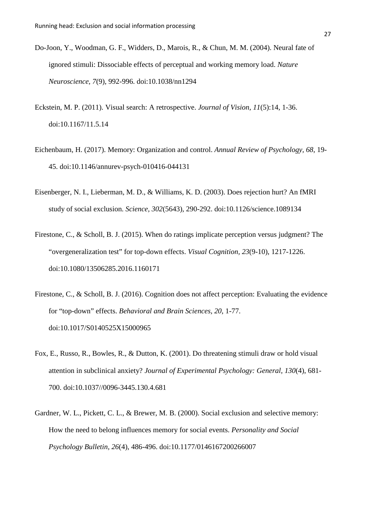- Do-Joon, Y., Woodman, G. F., Widders, D., Marois, R., & Chun, M. M. (2004). Neural fate of ignored stimuli: Dissociable effects of perceptual and working memory load. *Nature Neuroscience, 7*(9), 992-996. doi:10.1038/nn1294
- Eckstein, M. P. (2011). Visual search: A retrospective. *Journal of Vision, 11*(5):14, 1-36. doi:10.1167/11.5.14
- Eichenbaum, H. (2017). Memory: Organization and control. *Annual Review of Psychology, 68*, 19- 45. doi:10.1146/annurev-psych-010416-044131
- Eisenberger, N. I., Lieberman, M. D., & Williams, K. D. (2003). Does rejection hurt? An fMRI study of social exclusion. *Science, 302*(5643), 290-292. doi:10.1126/science.1089134
- Firestone, C., & Scholl, B. J. (2015). When do ratings implicate perception versus judgment? The "overgeneralization test" for top-down effects. *Visual Cognition, 23*(9-10), 1217-1226. doi:10.1080/13506285.2016.1160171
- Firestone, C., & Scholl, B. J. (2016). Cognition does not affect perception: Evaluating the evidence for "top-down" effects. *Behavioral and Brain Sciences, 20*, 1-77. doi:10.1017/S0140525X15000965
- Fox, E., Russo, R., Bowles, R., & Dutton, K. (2001). Do threatening stimuli draw or hold visual attention in subclinical anxiety? *Journal of Experimental Psychology: General, 130*(4), 681- 700. doi:10.1037//0096-3445.130.4.681
- Gardner, W. L., Pickett, C. L., & Brewer, M. B. (2000). Social exclusion and selective memory: How the need to belong influences memory for social events. *Personality and Social Psychology Bulletin, 26*(4), 486-496. doi:10.1177/0146167200266007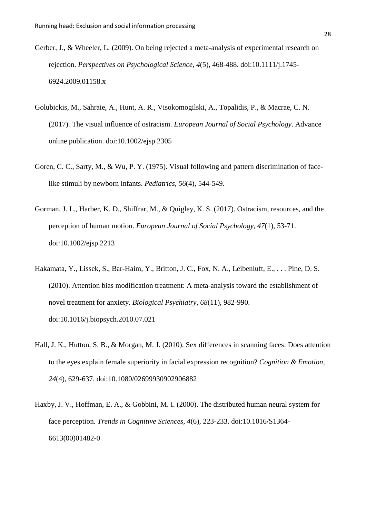- Gerber, J., & Wheeler, L. (2009). On being rejected a meta-analysis of experimental research on rejection. *Perspectives on Psychological Science, 4*(5), 468-488. doi:10.1111/j.1745- 6924.2009.01158.x
- Golubickis, M., Sahraie, A., Hunt, A. R., Visokomogilski, A., Topalidis, P., & Macrae, C. N. (2017). The visual influence of ostracism. *European Journal of Social Psychology*. Advance online publication. doi:10.1002/ejsp.2305
- Goren, C. C., Sarty, M., & Wu, P. Y. (1975). Visual following and pattern discrimination of facelike stimuli by newborn infants. *Pediatrics, 56*(4), 544-549.
- Gorman, J. L., Harber, K. D., Shiffrar, M., & Quigley, K. S. (2017). Ostracism, resources, and the perception of human motion. *European Journal of Social Psychology, 47*(1), 53-71. doi:10.1002/ejsp.2213
- Hakamata, Y., Lissek, S., Bar-Haim, Y., Britton, J. C., Fox, N. A., Leibenluft, E., . . . Pine, D. S. (2010). Attention bias modification treatment: A meta-analysis toward the establishment of novel treatment for anxiety. *Biological Psychiatry, 68*(11), 982-990. doi:10.1016/j.biopsych.2010.07.021
- Hall, J. K., Hutton, S. B., & Morgan, M. J. (2010). Sex differences in scanning faces: Does attention to the eyes explain female superiority in facial expression recognition? *Cognition & Emotion, 24*(4), 629-637. doi:10.1080/02699930902906882
- [Haxby,](https://www.ncbi.nlm.nih.gov/pubmed/?term=Haxby%20JV%5BAuthor%5D&cauthor=true&cauthor_uid=10827445) J. V., [Hoffman, E. A.](https://www.ncbi.nlm.nih.gov/pubmed/?term=Hoffman%20EA%5BAuthor%5D&cauthor=true&cauthor_uid=10827445), & [Gobbini, M. I.](https://www.ncbi.nlm.nih.gov/pubmed/?term=Gobbini%20MI%5BAuthor%5D&cauthor=true&cauthor_uid=10827445) (2000). The distributed human neural system for face perception. *[Trends in Cognitive Sciences](https://www.ncbi.nlm.nih.gov/pubmed/10827445)*, *4*(6), 223-233. doi:10.1016/S1364- 6613(00)01482-0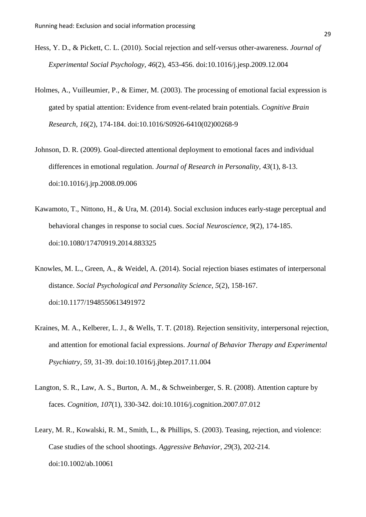- Hess, Y. D., & Pickett, C. L. (2010). Social rejection and self-versus other-awareness. *Journal of Experimental Social Psychology, 46*(2), 453-456. doi:10.1016/j.jesp.2009.12.004
- Holmes, A., Vuilleumier, P., & Eimer, M. (2003). The processing of emotional facial expression is gated by spatial attention: Evidence from event-related brain potentials. *Cognitive Brain Research, 16*(2), 174-184. doi:10.1016/S0926-6410(02)00268-9
- Johnson, D. R. (2009). Goal-directed attentional deployment to emotional faces and individual differences in emotional regulation. *Journal of Research in Personality, 43*(1), 8-13. doi:10.1016/j.jrp.2008.09.006
- Kawamoto, T., Nittono, H., & Ura, M. (2014). Social exclusion induces early-stage perceptual and behavioral changes in response to social cues. *Social Neuroscience, 9*(2), 174-185. doi:10.1080/17470919.2014.883325
- Knowles, M. L., Green, A., & Weidel, A. (2014). Social rejection biases estimates of interpersonal distance. *Social Psychological and Personality Science, 5*(2), 158-167. doi:10.1177/1948550613491972
- Kraines, M. A., Kelberer, L. J., & Wells, T. T. (2018). Rejection sensitivity, interpersonal rejection, and attention for emotional facial expressions. *Journal of Behavior Therapy and Experimental Psychiatry, 59*, 31-39. doi:10.1016/j.jbtep.2017.11.004
- Langton, S. R., Law, A. S., Burton, A. M., & Schweinberger, S. R. (2008). Attention capture by faces. *Cognition, 107*(1), 330-342. doi:10.1016/j.cognition.2007.07.012
- Leary, M. R., Kowalski, R. M., Smith, L., & Phillips, S. (2003). Teasing, rejection, and violence: Case studies of the school shootings. *Aggressive Behavior, 29*(3), 202-214. doi:10.1002/ab.10061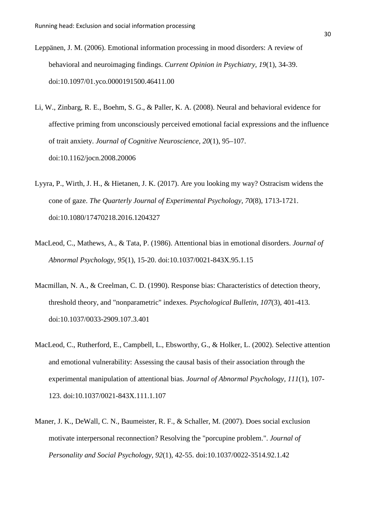- Leppänen, J. M. (2006). Emotional information processing in mood disorders: A review of behavioral and neuroimaging findings. *Current Opinion in Psychiatry, 19*(1), 34-39. doi:10.1097/01.yco.0000191500.46411.00
- Li, W., Zinbarg, R. E., Boehm, S. G., & Paller, K. A. (2008). Neural and behavioral evidence for affective priming from unconsciously perceived emotional facial expressions and the influence of trait anxiety. *Journal of Cognitive Neuroscience*, *20*(1), 95–107. doi:10.1162/jocn.2008.20006
- Lyyra, P., Wirth, J. H., & Hietanen, J. K. (2017). Are you looking my way? Ostracism widens the cone of gaze. *The Quarterly Journal of Experimental Psychology, 70*(8), 1713-1721. doi:10.1080/17470218.2016.1204327
- MacLeod, C., Mathews, A., & Tata, P. (1986). Attentional bias in emotional disorders. *Journal of Abnormal Psychology, 95*(1), 15-20. doi:10.1037/0021-843X.95.1.15
- Macmillan, N. A., & Creelman, C. D. (1990). Response bias: Characteristics of detection theory, threshold theory, and "nonparametric" indexes. *Psychological Bulletin, 107*(3), 401-413. doi:10.1037/0033-2909.107.3.401
- MacLeod, C., Rutherford, E., Campbell, L., Ebsworthy, G., & Holker, L. (2002). Selective attention and emotional vulnerability: Assessing the causal basis of their association through the experimental manipulation of attentional bias. *Journal of Abnormal Psychology, 111*(1), 107- 123. doi:10.1037/0021-843X.111.1.107
- Maner, J. K., DeWall, C. N., Baumeister, R. F., & Schaller, M. (2007). Does social exclusion motivate interpersonal reconnection? Resolving the "porcupine problem.". *Journal of Personality and Social Psychology, 92*(1), 42-55. doi:10.1037/0022-3514.92.1.42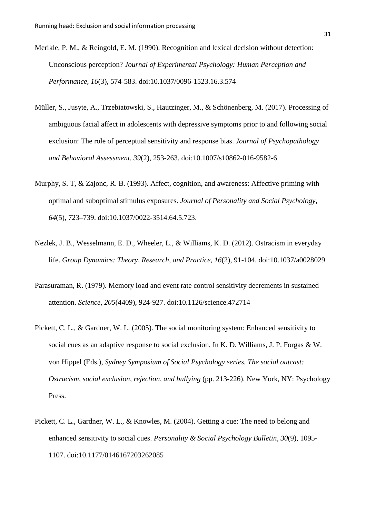- Merikle, P. M., & Reingold, E. M. (1990). Recognition and lexical decision without detection: Unconscious perception? *Journal of Experimental Psychology: Human Perception and Performance, 16*(3), 574-583. doi:10.1037/0096-1523.16.3.574
- Müller, S., Jusyte, A., Trzebiatowski, S., Hautzinger, M., & Schönenberg, M. (2017). Processing of ambiguous facial affect in adolescents with depressive symptoms prior to and following social exclusion: The role of perceptual sensitivity and response bias. *Journal of Psychopathology and Behavioral Assessment, 39*(2), 253-263. doi:10.1007/s10862-016-9582-6
- Murphy, S. T, & Zajonc, R. B. (1993). Affect, cognition, and awareness: Affective priming with optimal and suboptimal stimulus exposures. *Journal of Personality and Social Psychology*, *64*(5), 723–739. doi:10.1037/0022-3514.64.5.723.
- Nezlek, J. B., Wesselmann, E. D., Wheeler, L., & Williams, K. D. (2012). Ostracism in everyday life. *Group Dynamics: Theory, Research, and Practice, 16*(2), 91-104. doi:10.1037/a0028029
- Parasuraman, R. (1979). Memory load and event rate control sensitivity decrements in sustained attention. *Science, 205*(4409), 924-927. doi:10.1126/science.472714
- Pickett, C. L., & Gardner, W. L. (2005). The social monitoring system: Enhanced sensitivity to social cues as an adaptive response to social exclusion. In K. D. Williams, J. P. Forgas & W. von Hippel (Eds.), *Sydney Symposium of Social Psychology series. The social outcast: Ostracism, social exclusion, rejection, and bullying* (pp. 213-226). New York, NY: Psychology Press.
- Pickett, C. L., Gardner, W. L., & Knowles, M. (2004). Getting a cue: The need to belong and enhanced sensitivity to social cues. *Personality & Social Psychology Bulletin, 30*(9), 1095- 1107. doi:10.1177/0146167203262085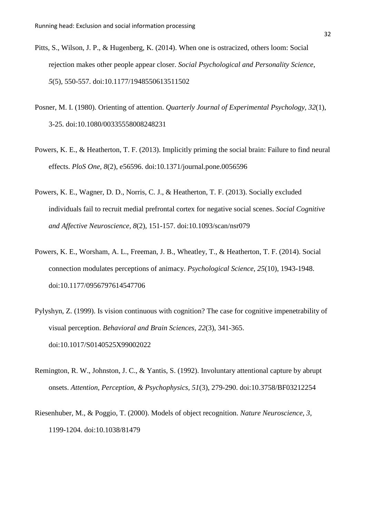- Pitts, S., Wilson, J. P., & Hugenberg, K. (2014). When one is ostracized, others loom: Social rejection makes other people appear closer. *Social Psychological and Personality Science, 5*(5), 550-557. doi:10.1177/1948550613511502
- Posner, M. I. (1980). Orienting of attention. *Quarterly Journal of Experimental Psychology, 32*(1), 3-25. doi:10.1080/00335558008248231
- Powers, K. E., & Heatherton, T. F. (2013). Implicitly priming the social brain: Failure to find neural effects. *PloS One, 8*(2), e56596. doi:10.1371/journal.pone.0056596
- Powers, K. E., Wagner, D. D., Norris, C. J., & Heatherton, T. F. (2013). Socially excluded individuals fail to recruit medial prefrontal cortex for negative social scenes. *Social Cognitive and Affective Neuroscience, 8*(2), 151-157. doi:10.1093/scan/nsr079
- Powers, K. E., Worsham, A. L., Freeman, J. B., Wheatley, T., & Heatherton, T. F. (2014). Social connection modulates perceptions of animacy. *Psychological Science, 25*(10), 1943-1948. doi:10.1177/0956797614547706
- Pylyshyn, Z. (1999). Is vision continuous with cognition? The case for cognitive impenetrability of visual perception. *Behavioral and Brain Sciences, 22*(3), 341-365. doi:10.1017/S0140525X99002022
- Remington, R. W., Johnston, J. C., & Yantis, S. (1992). Involuntary attentional capture by abrupt onsets. *Attention, Perception, & Psychophysics, 51*(3), 279-290. doi:10.3758/BF03212254
- Riesenhuber, M., & Poggio, T. (2000). Models of object recognition. *Nature Neuroscience, 3*, 1199-1204. doi:10.1038/81479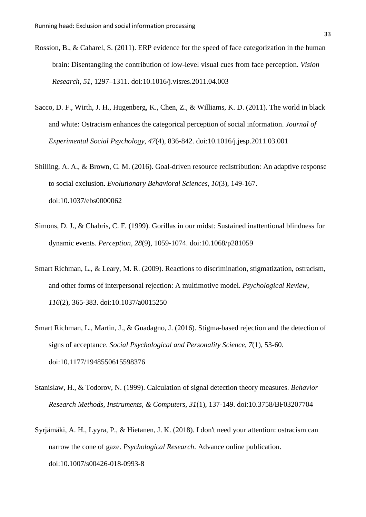- Rossion, B., & Caharel, S. (2011). ERP evidence for the speed of face categorization in the human brain: Disentangling the contribution of low-level visual cues from face perception. *Vision Research*, *51*, 1297–1311. [doi:10.1016/j.visres.2011.04.003](http://dx.doi.org/10.1016/j.visres.2011.04.003)
- Sacco, D. F., Wirth, J. H., Hugenberg, K., Chen, Z., & Williams, K. D. (2011). The world in black and white: Ostracism enhances the categorical perception of social information. *Journal of Experimental Social Psychology, 47*(4), 836-842. doi:10.1016/j.jesp.2011.03.001
- Shilling, A. A., & Brown, C. M. (2016). Goal-driven resource redistribution: An adaptive response to social exclusion. *Evolutionary Behavioral Sciences, 10*(3), 149-167. doi:10.1037/ebs0000062
- Simons, D. J., & Chabris, C. F. (1999). Gorillas in our midst: Sustained inattentional blindness for dynamic events. *Perception, 28*(9), 1059-1074. doi:10.1068/p281059
- Smart Richman, L., & Leary, M. R. (2009). Reactions to discrimination, stigmatization, ostracism, and other forms of interpersonal rejection: A multimotive model. *Psychological Review, 116*(2), 365-383. doi:10.1037/a0015250
- Smart Richman, L., Martin, J., & Guadagno, J. (2016). Stigma-based rejection and the detection of signs of acceptance. *Social Psychological and Personality Science, 7*(1), 53-60. doi:10.1177/1948550615598376
- Stanislaw, H., & Todorov, N. (1999). Calculation of signal detection theory measures. *Behavior Research Methods, Instruments, & Computers, 31*(1), 137-149. doi:10.3758/BF03207704
- Syrjämäki, A. H., Lyyra, P., & Hietanen, J. K. (2018). I don't need your attention: ostracism can narrow the cone of gaze. *Psychological Research*. Advance online publication. doi:10.1007/s00426-018-0993-8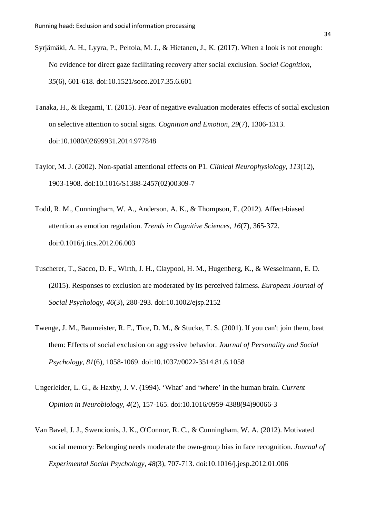- Syrjämäki, A. H., Lyyra, P., Peltola, M. J., & Hietanen, J., K. (2017). When a look is not enough: No evidence for direct gaze facilitating recovery after social exclusion. *Social Cognition, 35*(6), 601-618. doi:10.1521/soco.2017.35.6.601
- Tanaka, H., & Ikegami, T. (2015). Fear of negative evaluation moderates effects of social exclusion on selective attention to social signs. *Cognition and Emotion, 29*(7), 1306-1313. doi:10.1080/02699931.2014.977848
- Taylor, M. J. (2002). Non-spatial attentional effects on P1. *Clinical Neurophysiology, 113*(12), 1903-1908. doi:10.1016/S1388-2457(02)00309-7
- Todd, R. M., Cunningham, W. A., Anderson, A. K., & Thompson, E. (2012). Affect-biased attention as emotion regulation. *Trends in Cognitive Sciences, 16*(7), 365-372. doi:0.1016/j.tics.2012.06.003
- Tuscherer, T., Sacco, D. F., Wirth, J. H., Claypool, H. M., Hugenberg, K., & Wesselmann, E. D. (2015). Responses to exclusion are moderated by its perceived fairness. *European Journal of Social Psychology, 46*(3), 280-293. doi:10.1002/ejsp.2152
- Twenge, J. M., Baumeister, R. F., Tice, D. M., & Stucke, T. S. (2001). If you can't join them, beat them: Effects of social exclusion on aggressive behavior. *Journal of Personality and Social Psychology, 81*(6), 1058-1069. doi:10.1037//0022-3514.81.6.1058
- Ungerleider, L. G., & Haxby, J. V. (1994). 'What' and 'where' in the human brain. *Current Opinion in Neurobiology, 4*(2), 157-165. doi:10.1016/0959-4388(94)90066-3
- Van Bavel, J. J., Swencionis, J. K., O'Connor, R. C., & Cunningham, W. A. (2012). Motivated social memory: Belonging needs moderate the own-group bias in face recognition. *Journal of Experimental Social Psychology, 48*(3), 707-713. doi:10.1016/j.jesp.2012.01.006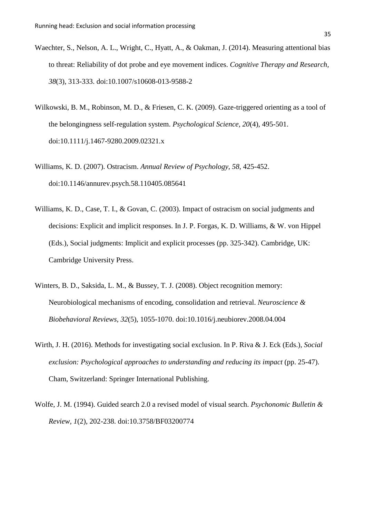- Waechter, S., Nelson, A. L., Wright, C., Hyatt, A., & Oakman, J. (2014). Measuring attentional bias to threat: Reliability of dot probe and eye movement indices. *Cognitive Therapy and Research, 38*(3), 313-333. doi:10.1007/s10608-013-9588-2
- Wilkowski, B. M., Robinson, M. D., & Friesen, C. K. (2009). Gaze-triggered orienting as a tool of the belongingness self-regulation system. *Psychological Science, 20*(4), 495-501. doi:10.1111/j.1467-9280.2009.02321.x
- Williams, K. D. (2007). Ostracism. *Annual Review of Psychology, 58*, 425-452. doi:10.1146/annurev.psych.58.110405.085641
- Williams, K. D., Case, T. I., & Govan, C. (2003). Impact of ostracism on social judgments and decisions: Explicit and implicit responses. In J. P. Forgas, K. D. Williams, & W. von Hippel (Eds.), Social judgments: Implicit and explicit processes (pp. 325-342). Cambridge, UK: Cambridge University Press.
- Winters, B. D., Saksida, L. M., & Bussey, T. J. (2008). Object recognition memory: Neurobiological mechanisms of encoding, consolidation and retrieval. *Neuroscience & Biobehavioral Reviews, 32*(5), 1055-1070. doi:10.1016/j.neubiorev.2008.04.004
- Wirth, J. H. (2016). Methods for investigating social exclusion. In P. Riva & J. Eck (Eds.), *Social exclusion: Psychological approaches to understanding and reducing its impact* (pp. 25-47). Cham, Switzerland: Springer International Publishing.
- Wolfe, J. M. (1994). Guided search 2.0 a revised model of visual search. *Psychonomic Bulletin & Review, 1*(2), 202-238. doi:10.3758/BF03200774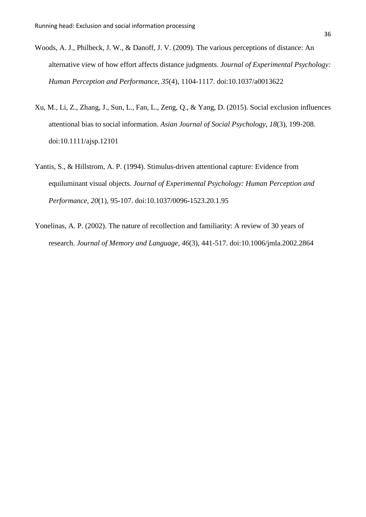- Woods, A. J., Philbeck, J. W., & Danoff, J. V. (2009). The various perceptions of distance: An alternative view of how effort affects distance judgments. *Journal of Experimental Psychology: Human Perception and Performance, 35*(4), 1104-1117. doi:10.1037/a0013622
- Xu, M., Li, Z., Zhang, J., Sun, L., Fan, L., Zeng, Q., & Yang, D. (2015). Social exclusion influences attentional bias to social information. *Asian Journal of Social Psychology, 18*(3), 199-208. doi:10.1111/ajsp.12101
- Yantis, S., & Hillstrom, A. P. (1994). Stimulus-driven attentional capture: Evidence from equiluminant visual objects. *Journal of Experimental Psychology: Human Perception and Performance, 20*(1), 95-107. doi:10.1037/0096-1523.20.1.95
- Yonelinas, A. P. (2002). The nature of recollection and familiarity: A review of 30 years of research. *Journal of Memory and Language, 46*(3), 441-517. doi:10.1006/jmla.2002.2864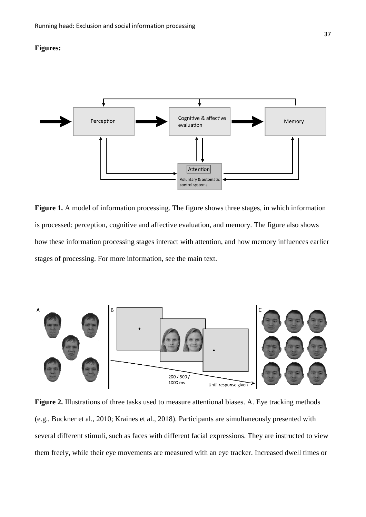## **Figures:**



Figure 1. A model of information processing. The figure shows three stages, in which information is processed: perception, cognitive and affective evaluation, and memory. The figure also shows how these information processing stages interact with attention, and how memory influences earlier stages of processing. For more information, see the main text.



Figure 2. Illustrations of three tasks used to measure attentional biases. A. Eye tracking methods (e.g., Buckner et al., 2010; Kraines et al., 2018). Participants are simultaneously presented with several different stimuli, such as faces with different facial expressions. They are instructed to view them freely, while their eye movements are measured with an eye tracker. Increased dwell times or